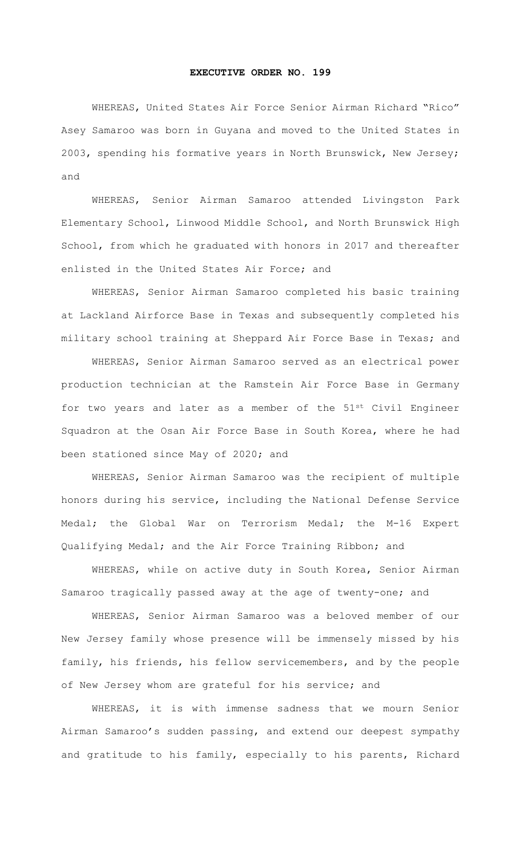## **EXECUTIVE ORDER NO. 199**

WHEREAS, United States Air Force Senior Airman Richard "Rico" Asey Samaroo was born in Guyana and moved to the United States in 2003, spending his formative years in North Brunswick, New Jersey; and

WHEREAS, Senior Airman Samaroo attended Livingston Park Elementary School, Linwood Middle School, and North Brunswick High School, from which he graduated with honors in 2017 and thereafter enlisted in the United States Air Force; and

WHEREAS, Senior Airman Samaroo completed his basic training at Lackland Airforce Base in Texas and subsequently completed his military school training at Sheppard Air Force Base in Texas; and

WHEREAS, Senior Airman Samaroo served as an electrical power production technician at the Ramstein Air Force Base in Germany for two years and later as a member of the 51st Civil Engineer Squadron at the Osan Air Force Base in South Korea, where he had been stationed since May of 2020; and

WHEREAS, Senior Airman Samaroo was the recipient of multiple honors during his service, including the National Defense Service Medal; the Global War on Terrorism Medal; the M-16 Expert Qualifying Medal; and the Air Force Training Ribbon; and

WHEREAS, while on active duty in South Korea, Senior Airman Samaroo tragically passed away at the age of twenty-one; and

WHEREAS, Senior Airman Samaroo was a beloved member of our New Jersey family whose presence will be immensely missed by his family, his friends, his fellow servicemembers, and by the people of New Jersey whom are grateful for his service; and

WHEREAS, it is with immense sadness that we mourn Senior Airman Samaroo's sudden passing, and extend our deepest sympathy and gratitude to his family, especially to his parents, Richard